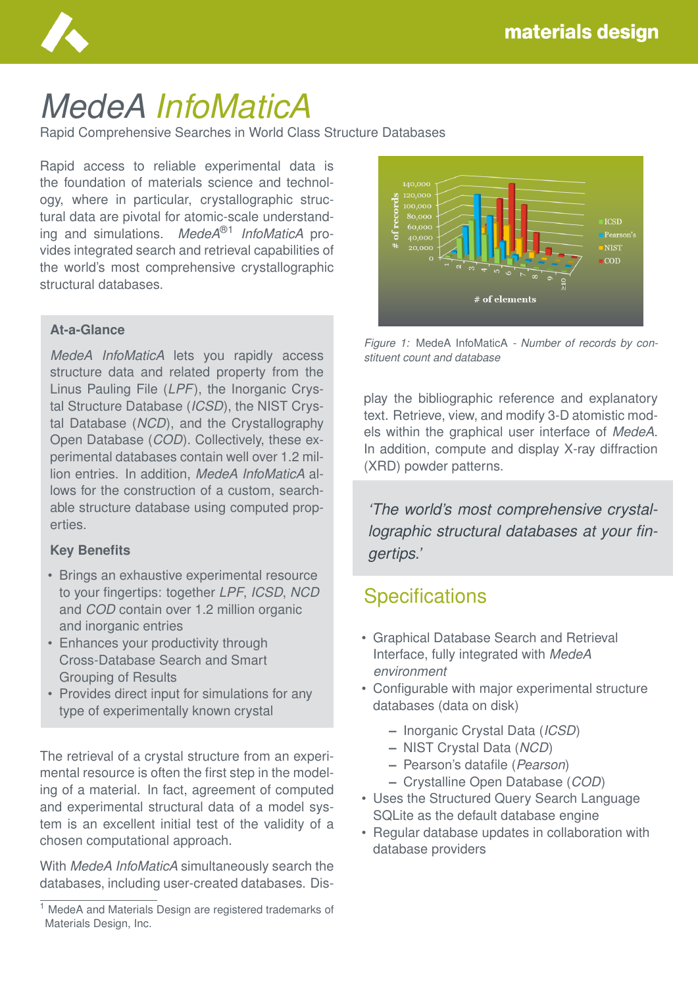

# *MedeA InfoMaticA*

Rapid Comprehensive Searches in World Class Structure Databases

Rapid access to reliable experimental data is the foundation of materials science and technology, where in particular, crystallographic structural data are pivotal for atomic-scale understanding and simulations. *MedeA*®1 *InfoMaticA* provides integrated search and retrieval capabilities of the world's most comprehensive crystallographic structural databases.

#### **At-a-Glance**

*MedeA InfoMaticA* lets you rapidly access structure data and related property from the Linus Pauling File (*LPF*), the Inorganic Crystal Structure Database (*ICSD*), the NIST Crystal Database (*NCD*), and the Crystallography Open Database (*COD*). Collectively, these experimental databases contain well over 1.2 million entries. In addition, *MedeA InfoMaticA* allows for the construction of a custom, searchable structure database using computed properties.

#### **Key Benefits**

- Brings an exhaustive experimental resource to your fingertips: together *LPF*, *ICSD*, *NCD* and *COD* contain over 1.2 million organic and inorganic entries
- Enhances your productivity through Cross-Database Search and Smart Grouping of Results
- Provides direct input for simulations for any type of experimentally known crystal

The retrieval of a crystal structure from an experimental resource is often the first step in the modeling of a material. In fact, agreement of computed and experimental structural data of a model system is an excellent initial test of the validity of a chosen computational approach.

With *MedeA InfoMaticA* simultaneously search the databases, including user-created databases. Dis-



*Figure 1:* MedeA InfoMaticA *- Number of records by constituent count and database*

play the bibliographic reference and explanatory text. Retrieve, view, and modify 3-D atomistic models within the graphical user interface of *MedeA*. In addition, compute and display X-ray diffraction (XRD) powder patterns.

*'The world's most comprehensive crystallographic structural databases at your fingertips.'*

### **Specifications**

- Graphical Database Search and Retrieval Interface, fully integrated with *MedeA environment*
- Configurable with major experimental structure databases (data on disk)
	- **–** Inorganic Crystal Data (*ICSD*)
	- **–** NIST Crystal Data (*NCD*)
	- **–** Pearson's datafile (*Pearson*)
	- **–** Crystalline Open Database (*COD*)
- Uses the Structured Query Search Language SQLite as the default database engine
- Regular database updates in collaboration with database providers

<sup>1</sup> MedeA and Materials Design are registered trademarks of Materials Design, Inc.